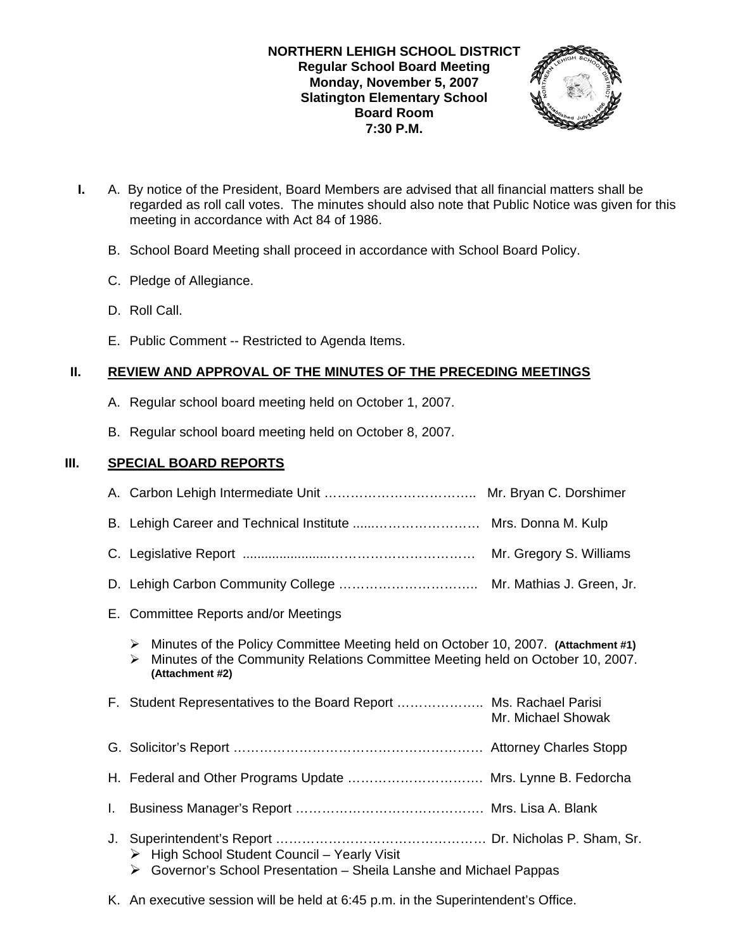# **NORTHERN LEHIGH SCHOOL DISTRICT Regular School Board Meeting Monday, November 5, 2007 Slatington Elementary School Board Room 7:30 P.M.**



- **I.** A. By notice of the President, Board Members are advised that all financial matters shall be regarded as roll call votes. The minutes should also note that Public Notice was given for this meeting in accordance with Act 84 of 1986.
	- B. School Board Meeting shall proceed in accordance with School Board Policy.
	- C. Pledge of Allegiance.
	- D. Roll Call.
	- E. Public Comment -- Restricted to Agenda Items.

# **II. REVIEW AND APPROVAL OF THE MINUTES OF THE PRECEDING MEETINGS**

- A. Regular school board meeting held on October 1, 2007.
- B. Regular school board meeting held on October 8, 2007.

# **III. SPECIAL BOARD REPORTS**

|    | E. Committee Reports and/or Meetings                                                                                                                                                             |                    |
|----|--------------------------------------------------------------------------------------------------------------------------------------------------------------------------------------------------|--------------------|
|    | Minutes of the Policy Committee Meeting held on October 10, 2007. (Attachment #1)<br>➤<br>Minutes of the Community Relations Committee Meeting held on October 10, 2007.<br>↘<br>(Attachment #2) |                    |
|    | F. Student Representatives to the Board Report  Ms. Rachael Parisi                                                                                                                               | Mr. Michael Showak |
|    |                                                                                                                                                                                                  |                    |
|    | H. Federal and Other Programs Update  Mrs. Lynne B. Fedorcha                                                                                                                                     |                    |
| L. |                                                                                                                                                                                                  |                    |
|    | High School Student Council - Yearly Visit<br>➤<br>Governor's School Presentation - Sheila Lanshe and Michael Pappas<br>➤                                                                        |                    |

K. An executive session will be held at 6:45 p.m. in the Superintendent's Office.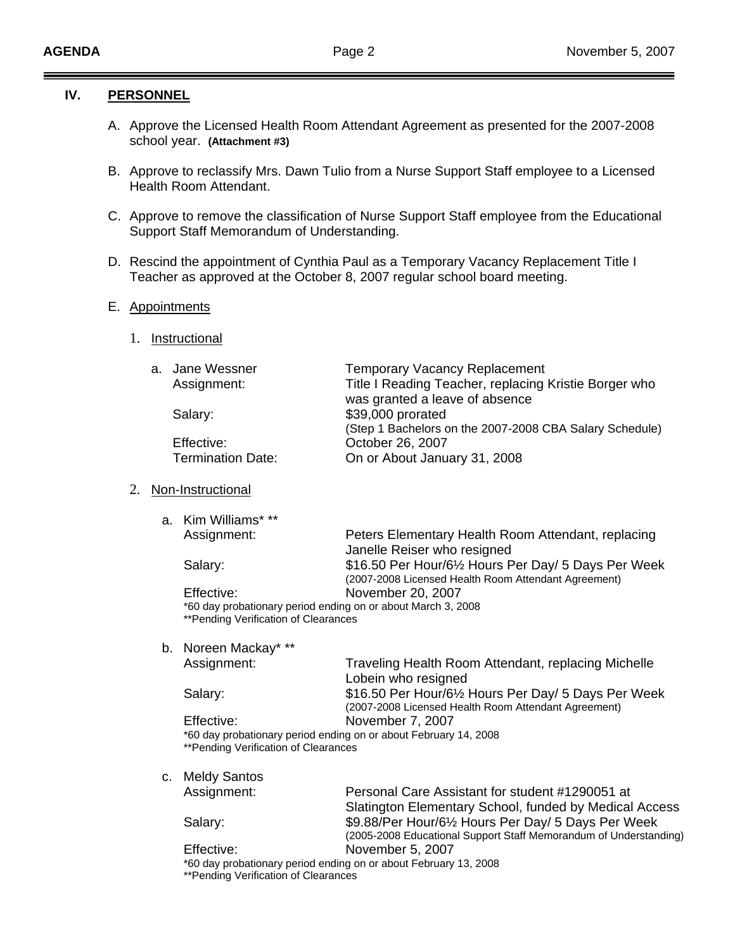### **IV. PERSONNEL**

- A. Approve the Licensed Health Room Attendant Agreement as presented for the 2007-2008 school year. **(Attachment #3)**
- B. Approve to reclassify Mrs. Dawn Tulio from a Nurse Support Staff employee to a Licensed Health Room Attendant.
- C. Approve to remove the classification of Nurse Support Staff employee from the Educational Support Staff Memorandum of Understanding.
- D. Rescind the appointment of Cynthia Paul as a Temporary Vacancy Replacement Title I Teacher as approved at the October 8, 2007 regular school board meeting.

### E. Appointments

1. Instructional

| a. Jane Wessner          | <b>Temporary Vacancy Replacement</b>                    |
|--------------------------|---------------------------------------------------------|
| Assignment:              | Title I Reading Teacher, replacing Kristie Borger who   |
|                          | was granted a leave of absence                          |
| Salary:                  | \$39,000 prorated                                       |
|                          | (Step 1 Bachelors on the 2007-2008 CBA Salary Schedule) |
| Effective:               | October 26, 2007                                        |
| <b>Termination Date:</b> | On or About January 31, 2008                            |
|                          |                                                         |

### 2. Non-Instructional

a. Kim Williams\* \*\*

| Assignment: | Peters Elementary Health Room Attendant, replacing           |
|-------------|--------------------------------------------------------------|
|             | Janelle Reiser who resigned                                  |
| Salary:     | \$16.50 Per Hour/61/2 Hours Per Day/ 5 Days Per Week         |
|             | (2007-2008 Licensed Health Room Attendant Agreement)         |
| Effective:  | November 20, 2007                                            |
|             | *60 day probationary period ending on or about March 3, 2008 |

\*60 day probationary period ending on or about March 3, 2008 \*\*Pending Verification of Clearances

b. Noreen Mackay\* \*\*

 Assignment: Traveling Health Room Attendant, replacing Michelle Lobein who resigned Salary: **\$16.50 Per Hour/6½ Hours Per Day/ 5 Days Per Week**  (2007-2008 Licensed Health Room Attendant Agreement) Effective: November 7, 2007

\*60 day probationary period ending on or about February 14, 2008 \*\*Pending Verification of Clearances

c. Meldy Santos

 Assignment: Personal Care Assistant for student #1290051 at Slatington Elementary School, funded by Medical Access Salary: **\$9.88/Per Hour/6½ Hours Per Day/ 5 Days Per Week** (2005-2008 Educational Support Staff Memorandum of Understanding)

 Effective: November 5, 2007 \*60 day probationary period ending on or about February 13, 2008 \*\*Pending Verification of Clearances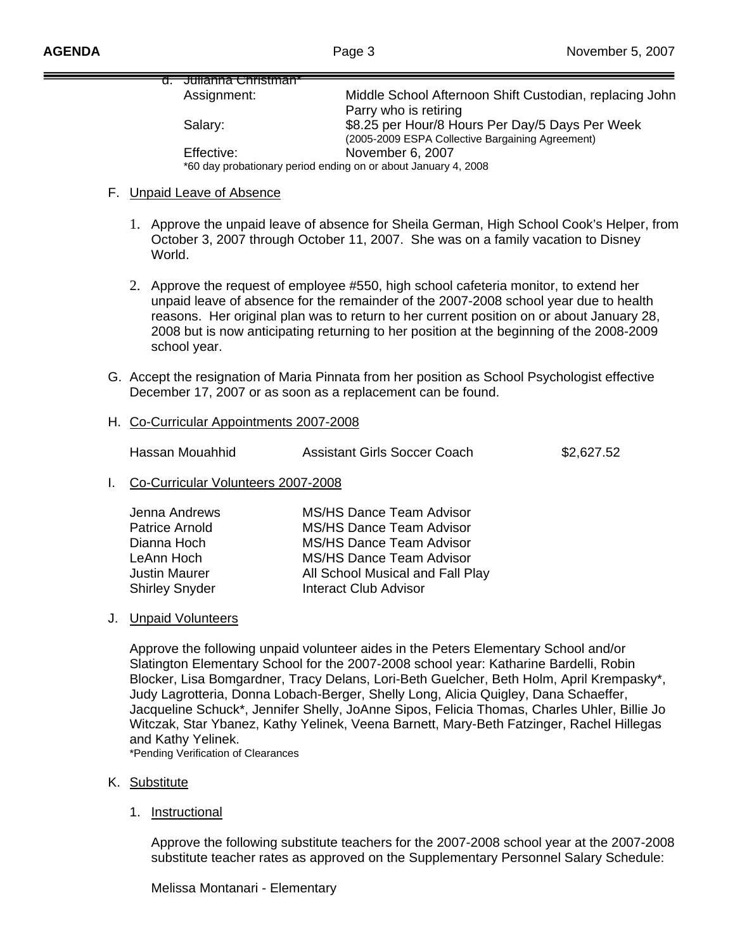| <del>d. Umanna Umisunan</del>                                  |                                                                                                     |
|----------------------------------------------------------------|-----------------------------------------------------------------------------------------------------|
| Assignment:                                                    | Middle School Afternoon Shift Custodian, replacing John                                             |
|                                                                | Parry who is retiring                                                                               |
| Salary:                                                        | \$8.25 per Hour/8 Hours Per Day/5 Days Per Week<br>(2005-2009 ESPA Collective Bargaining Agreement) |
| Effective:                                                     | November 6, 2007                                                                                    |
| *60 day probationary period ending on or about January 4, 2008 |                                                                                                     |

#### F. Unpaid Leave of Absence

- 1. Approve the unpaid leave of absence for Sheila German, High School Cook's Helper, from October 3, 2007 through October 11, 2007. She was on a family vacation to Disney World.
- 2. Approve the request of employee #550, high school cafeteria monitor, to extend her unpaid leave of absence for the remainder of the 2007-2008 school year due to health reasons. Her original plan was to return to her current position on or about January 28, 2008 but is now anticipating returning to her position at the beginning of the 2008-2009 school year.
- G. Accept the resignation of Maria Pinnata from her position as School Psychologist effective December 17, 2007 or as soon as a replacement can be found.
- H. Co-Curricular Appointments 2007-2008

Hassan Mouahhid Assistant Girls Soccer Coach \$2,627.52

I. Co-Curricular Volunteers 2007-2008

| Jenna Andrews         | MS/HS Dance Team Advisor         |
|-----------------------|----------------------------------|
| Patrice Arnold        | MS/HS Dance Team Advisor         |
| Dianna Hoch           | <b>MS/HS Dance Team Advisor</b>  |
| LeAnn Hoch            | <b>MS/HS Dance Team Advisor</b>  |
| <b>Justin Maurer</b>  | All School Musical and Fall Play |
| <b>Shirley Snyder</b> | <b>Interact Club Advisor</b>     |
|                       |                                  |

### J. Unpaid Volunteers

Approve the following unpaid volunteer aides in the Peters Elementary School and/or Slatington Elementary School for the 2007-2008 school year: Katharine Bardelli, Robin Blocker, Lisa Bomgardner, Tracy Delans, Lori-Beth Guelcher, Beth Holm, April Krempasky\*, Judy Lagrotteria, Donna Lobach-Berger, Shelly Long, Alicia Quigley, Dana Schaeffer, Jacqueline Schuck\*, Jennifer Shelly, JoAnne Sipos, Felicia Thomas, Charles Uhler, Billie Jo Witczak, Star Ybanez, Kathy Yelinek, Veena Barnett, Mary-Beth Fatzinger, Rachel Hillegas and Kathy Yelinek.

\*Pending Verification of Clearances

#### K. Substitute

1. Instructional

 Approve the following substitute teachers for the 2007-2008 school year at the 2007-2008 substitute teacher rates as approved on the Supplementary Personnel Salary Schedule:

Melissa Montanari - Elementary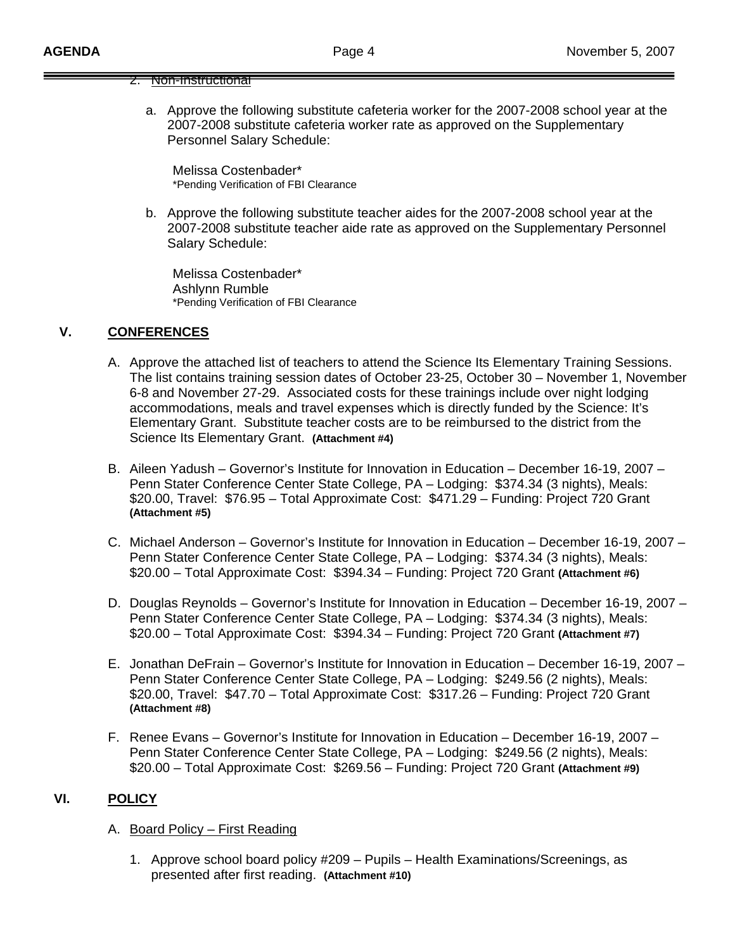### 2. Non-Instructional

a. Approve the following substitute cafeteria worker for the 2007-2008 school year at the 2007-2008 substitute cafeteria worker rate as approved on the Supplementary Personnel Salary Schedule:

Melissa Costenbader\*<br>\*Pending Verification of FBI Clearance

b. Approve the following substitute teacher aides for the 2007-2008 school year at the 2007-2008 substitute teacher aide rate as approved on the Supplementary Personnel Salary Schedule:

 Melissa Costenbader\* Ashlynn Rumble \*Pending Verification of FBI Clearance

# **V. CONFERENCES**

- A. Approve the attached list of teachers to attend the Science Its Elementary Training Sessions. The list contains training session dates of October 23-25, October 30 – November 1, November 6-8 and November 27-29. Associated costs for these trainings include over night lodging accommodations, meals and travel expenses which is directly funded by the Science: It's Elementary Grant. Substitute teacher costs are to be reimbursed to the district from the Science Its Elementary Grant. **(Attachment #4)**
- B. Aileen Yadush Governor's Institute for Innovation in Education December 16-19, 2007 Penn Stater Conference Center State College, PA – Lodging: \$374.34 (3 nights), Meals: \$20.00, Travel: \$76.95 – Total Approximate Cost: \$471.29 – Funding: Project 720 Grant **(Attachment #5)**
- C. Michael Anderson Governor's Institute for Innovation in Education December 16-19, 2007 Penn Stater Conference Center State College, PA – Lodging: \$374.34 (3 nights), Meals: \$20.00 – Total Approximate Cost: \$394.34 – Funding: Project 720 Grant **(Attachment #6)**
- D. Douglas Reynolds Governor's Institute for Innovation in Education December 16-19, 2007 Penn Stater Conference Center State College, PA – Lodging: \$374.34 (3 nights), Meals: \$20.00 – Total Approximate Cost: \$394.34 – Funding: Project 720 Grant **(Attachment #7)**
- E. Jonathan DeFrain Governor's Institute for Innovation in Education December 16-19, 2007 Penn Stater Conference Center State College, PA – Lodging: \$249.56 (2 nights), Meals: \$20.00, Travel: \$47.70 – Total Approximate Cost: \$317.26 – Funding: Project 720 Grant **(Attachment #8)**
- F. Renee Evans Governor's Institute for Innovation in Education December 16-19, 2007 Penn Stater Conference Center State College, PA – Lodging: \$249.56 (2 nights), Meals: \$20.00 – Total Approximate Cost: \$269.56 – Funding: Project 720 Grant **(Attachment #9)**

### **VI. POLICY**

- A. Board Policy First Reading
	- 1. Approve school board policy #209 Pupils Health Examinations/Screenings, as presented after first reading. **(Attachment #10)**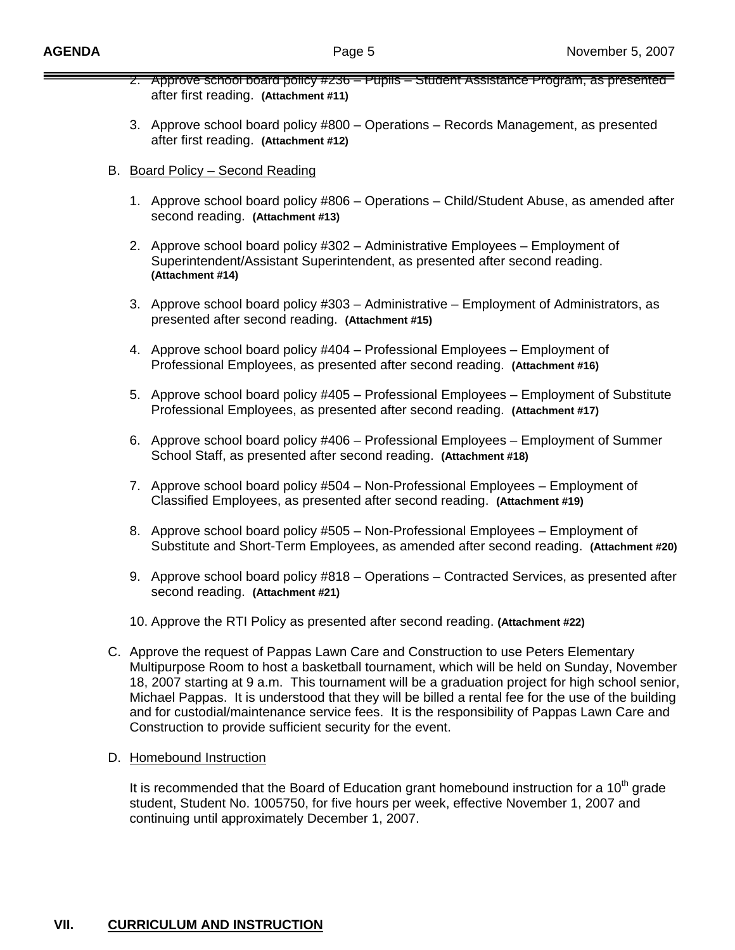- 2. Approve school board policy #236 Pupils Student Assistance Program, as presented after first reading. **(Attachment #11)**
- 3. Approve school board policy #800 Operations Records Management, as presented after first reading. **(Attachment #12)**
- B. Board Policy Second Reading
	- 1. Approve school board policy #806 Operations Child/Student Abuse, as amended after second reading. **(Attachment #13)**
	- 2. Approve school board policy #302 Administrative Employees Employment of Superintendent/Assistant Superintendent, as presented after second reading.  **(Attachment #14)**
	- 3. Approve school board policy #303 Administrative Employment of Administrators, as presented after second reading. **(Attachment #15)**
	- 4. Approve school board policy #404 Professional Employees Employment of Professional Employees, as presented after second reading. **(Attachment #16)**
	- 5. Approve school board policy #405 Professional Employees Employment of Substitute Professional Employees, as presented after second reading. **(Attachment #17)**
	- 6. Approve school board policy #406 Professional Employees Employment of Summer School Staff, as presented after second reading. **(Attachment #18)**
	- 7. Approve school board policy #504 Non-Professional Employees Employment of Classified Employees, as presented after second reading. **(Attachment #19)**
	- 8. Approve school board policy #505 Non-Professional Employees Employment of Substitute and Short-Term Employees, as amended after second reading. **(Attachment #20)**
	- 9. Approve school board policy #818 Operations Contracted Services, as presented after second reading. **(Attachment #21)**
	- 10. Approve the RTI Policy as presented after second reading. **(Attachment #22)**
- C. Approve the request of Pappas Lawn Care and Construction to use Peters Elementary Multipurpose Room to host a basketball tournament, which will be held on Sunday, November 18, 2007 starting at 9 a.m. This tournament will be a graduation project for high school senior, Michael Pappas. It is understood that they will be billed a rental fee for the use of the building and for custodial/maintenance service fees. It is the responsibility of Pappas Lawn Care and Construction to provide sufficient security for the event.
- D. Homebound Instruction

It is recommended that the Board of Education grant homebound instruction for a  $10<sup>th</sup>$  grade student, Student No. 1005750, for five hours per week, effective November 1, 2007 and continuing until approximately December 1, 2007.